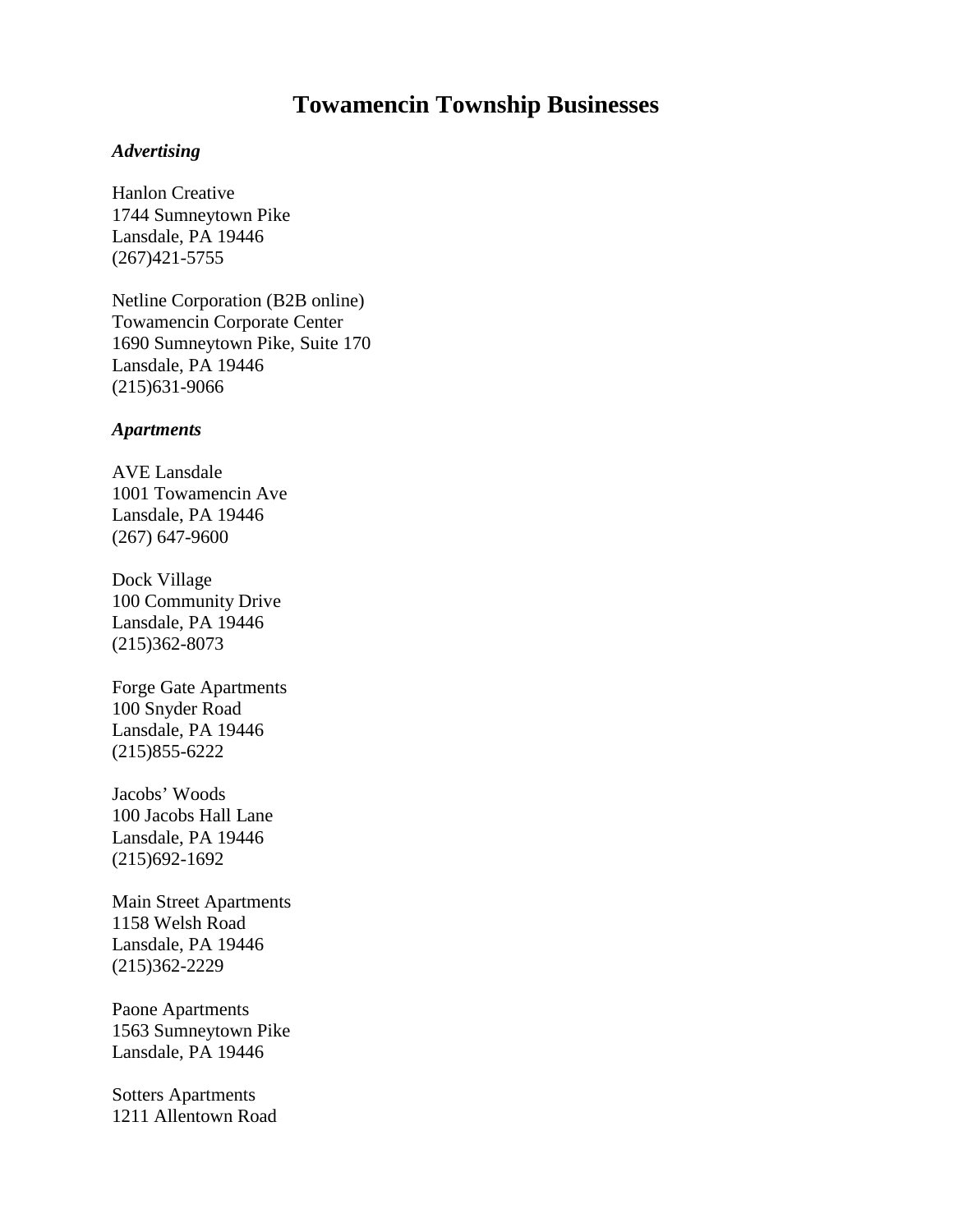# **Towamencin Township Businesses**

#### *Advertising*

Hanlon Creative 1744 Sumneytown Pike Lansdale, PA 19446 (267)421-5755

Netline Corporation (B2B online) Towamencin Corporate Center 1690 Sumneytown Pike, Suite 170 Lansdale, PA 19446 (215)631-9066

#### *Apartments*

AVE Lansdale 1001 Towamencin Ave Lansdale, PA 19446 (267) 647-9600

Dock Village 100 Community Drive Lansdale, PA 19446 (215)362-8073

Forge Gate Apartments 100 Snyder Road Lansdale, PA 19446 (215)855-6222

Jacobs' Woods 100 Jacobs Hall Lane Lansdale, PA 19446 (215)692-1692

Main Street Apartments 1158 Welsh Road Lansdale, PA 19446 (215)362-2229

Paone Apartments 1563 Sumneytown Pike Lansdale, PA 19446

Sotters Apartments 1211 Allentown Road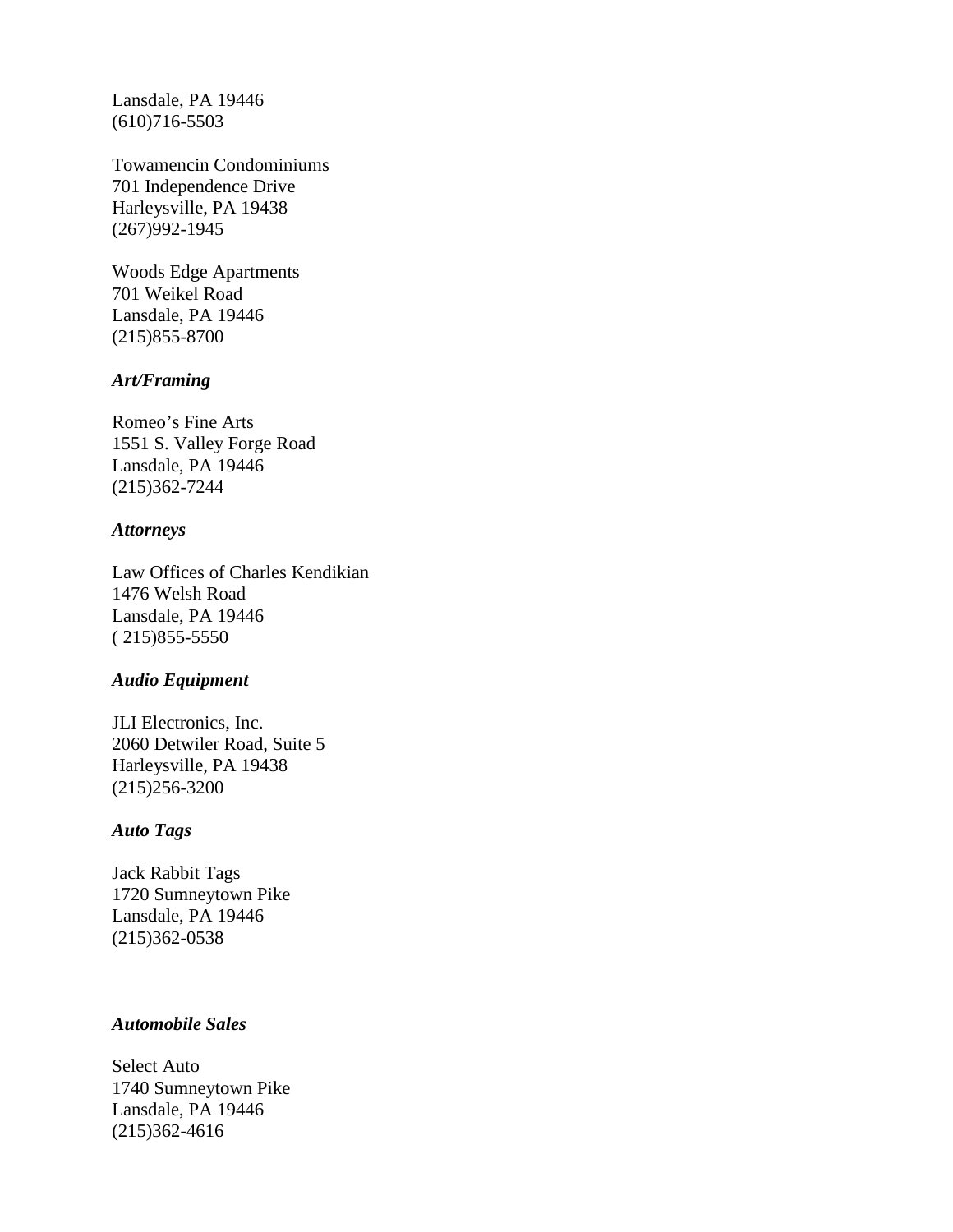Lansdale, PA 19446 (610)716-5503

Towamencin Condominiums 701 Independence Drive Harleysville, PA 19438 (267)992-1945

Woods Edge Apartments 701 Weikel Road Lansdale, PA 19446 (215)855-8700

#### *Art/Framing*

Romeo's Fine Arts 1551 S. Valley Forge Road Lansdale, PA 19446 (215)362-7244

#### *Attorneys*

Law Offices of Charles Kendikian 1476 Welsh Road Lansdale, PA 19446 ( 215)855-5550

#### *Audio Equipment*

JLI Electronics, Inc. 2060 Detwiler Road, Suite 5 Harleysville, PA 19438 (215)256-3200

### *Auto Tags*

Jack Rabbit Tags 1720 Sumneytown Pike Lansdale, PA 19446 (215)362-0538

#### *Automobile Sales*

Select Auto 1740 Sumneytown Pike Lansdale, PA 19446 (215)362-4616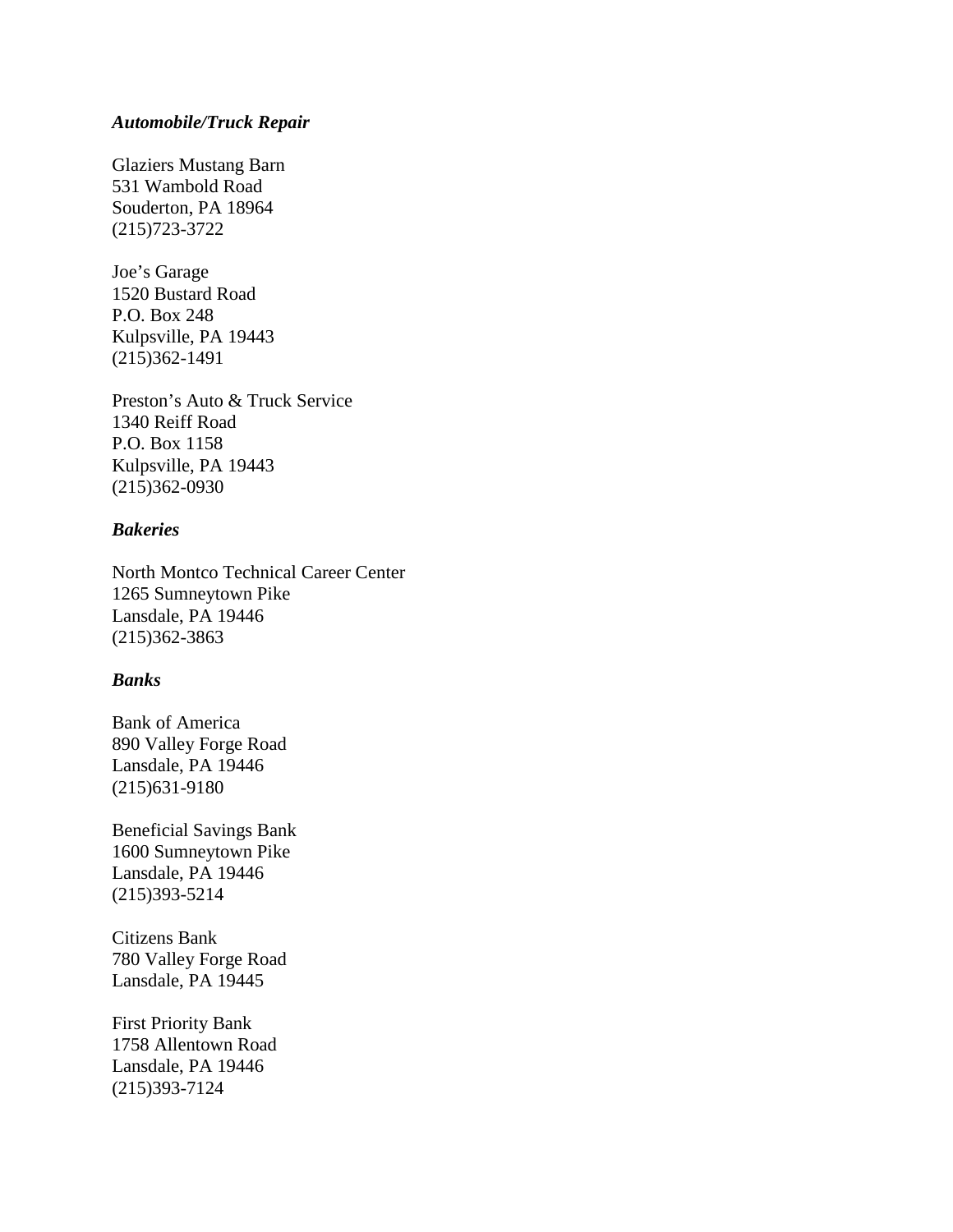#### *Automobile/Truck Repair*

Glaziers Mustang Barn 531 Wambold Road Souderton, PA 18964 (215)723-3722

Joe's Garage 1520 Bustard Road P.O. Box 248 Kulpsville, PA 19443 (215)362-1491

Preston's Auto & Truck Service 1340 Reiff Road P.O. Box 1158 Kulpsville, PA 19443 (215)362-0930

#### *Bakeries*

North Montco Technical Career Center 1265 Sumneytown Pike Lansdale, PA 19446 (215)362-3863

# *Banks*

Bank of America 890 Valley Forge Road Lansdale, PA 19446 (215)631-9180

Beneficial Savings Bank 1600 Sumneytown Pike Lansdale, PA 19446 (215)393-5214

Citizens Bank 780 Valley Forge Road Lansdale, PA 19445

First Priority Bank 1758 Allentown Road Lansdale, PA 19446 (215)393-7124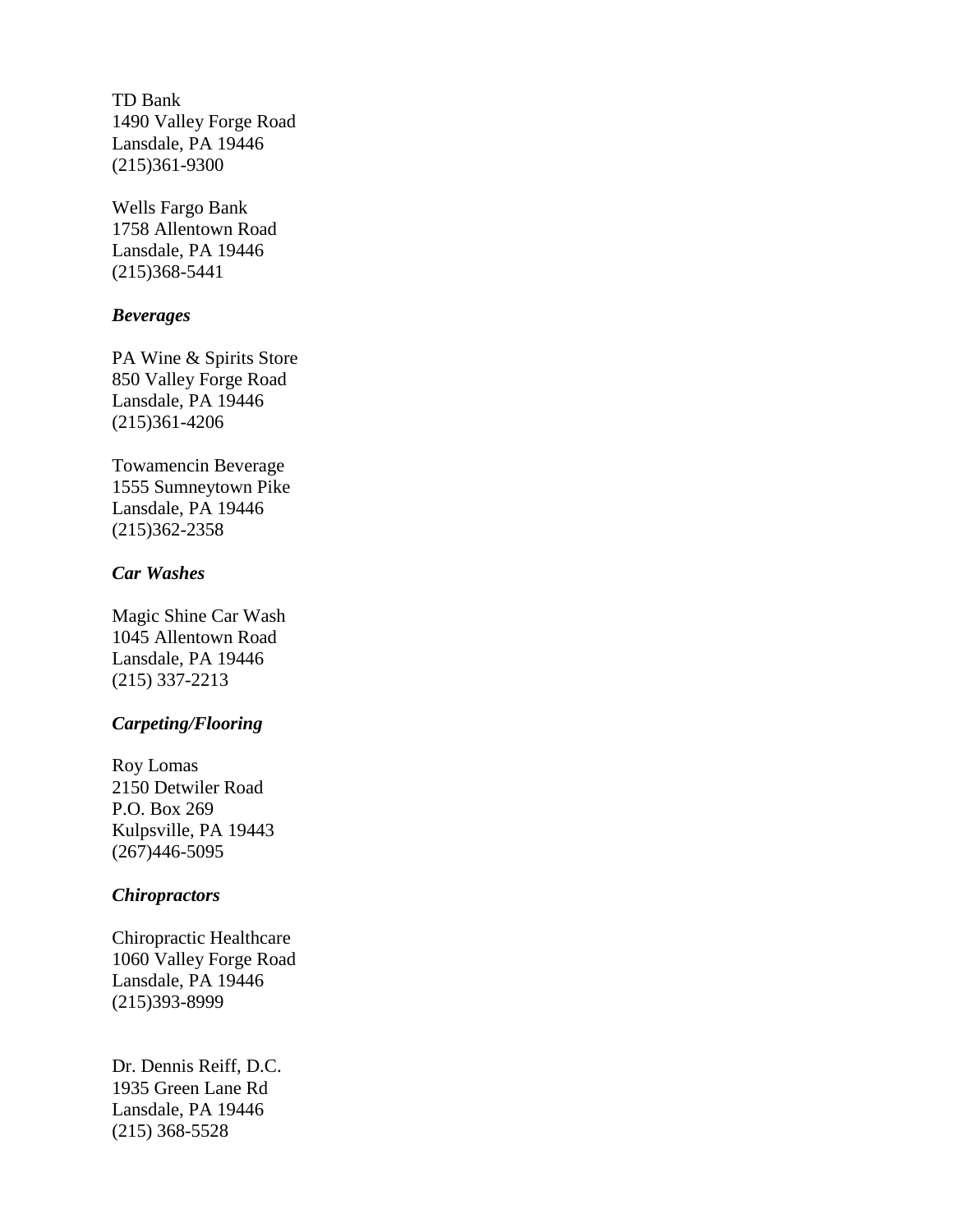TD Bank 1490 Valley Forge Road Lansdale, PA 19446 (215)361-9300

Wells Fargo Bank 1758 Allentown Road Lansdale, PA 19446 (215)368-5441

### *Beverages*

PA Wine & Spirits Store 850 Valley Forge Road Lansdale, PA 19446 (215)361-4206

Towamencin Beverage 1555 Sumneytown Pike Lansdale, PA 19446 (215)362-2358

### *Car Washes*

Magic Shine Car Wash 1045 Allentown Road Lansdale, PA 19446 (215) 337-2213

### *Carpeting/Flooring*

Roy Lomas 2150 Detwiler Road P.O. Box 269 Kulpsville, PA 19443 (267)446-5095

### *Chiropractors*

Chiropractic Healthcare 1060 Valley Forge Road Lansdale, PA 19446 (215)393-8999

Dr. Dennis Reiff, D.C. 1935 Green Lane Rd Lansdale, PA 19446 (215) 368-5528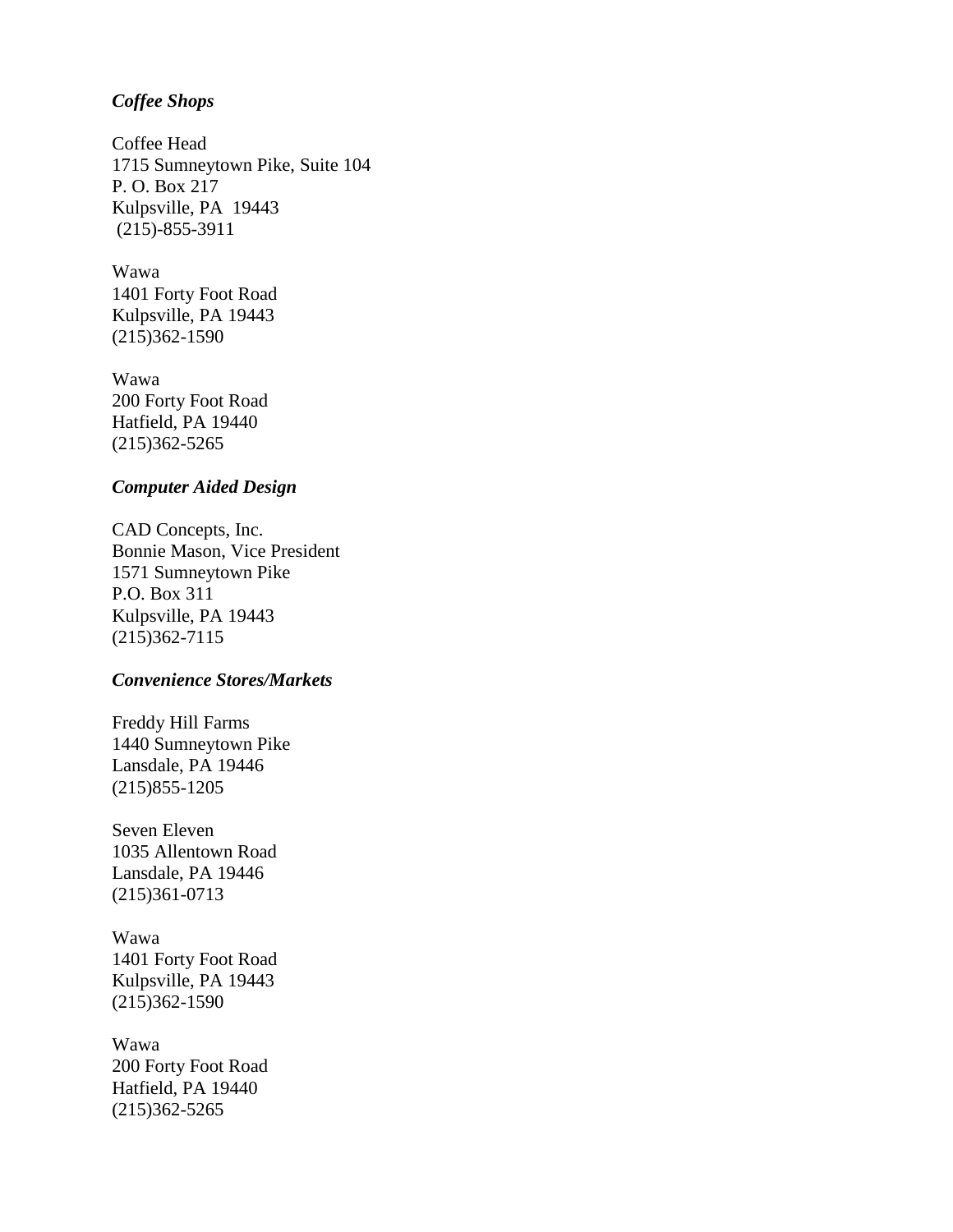#### *Coffee Shops*

Coffee Head 1715 Sumneytown Pike, Suite 104 P. O. Box 217 Kulpsville, PA 19443 (215)-855-3911

Wawa 1401 Forty Foot Road Kulpsville, PA 19443 (215)362-1590

Wawa 200 Forty Foot Road Hatfield, PA 19440 (215)362-5265

### *Computer Aided Design*

CAD Concepts, Inc. Bonnie Mason, Vice President 1571 Sumneytown Pike P.O. Box 311 Kulpsville, PA 19443 (215)362-7115

### *Convenience Stores/Markets*

Freddy Hill Farms 1440 Sumneytown Pike Lansdale, PA 19446 (215)855-1205

Seven Eleven 1035 Allentown Road Lansdale, PA 19446 (215)361-0713

Wawa 1401 Forty Foot Road Kulpsville, PA 19443 (215)362-1590

Wawa 200 Forty Foot Road Hatfield, PA 19440 (215)362-5265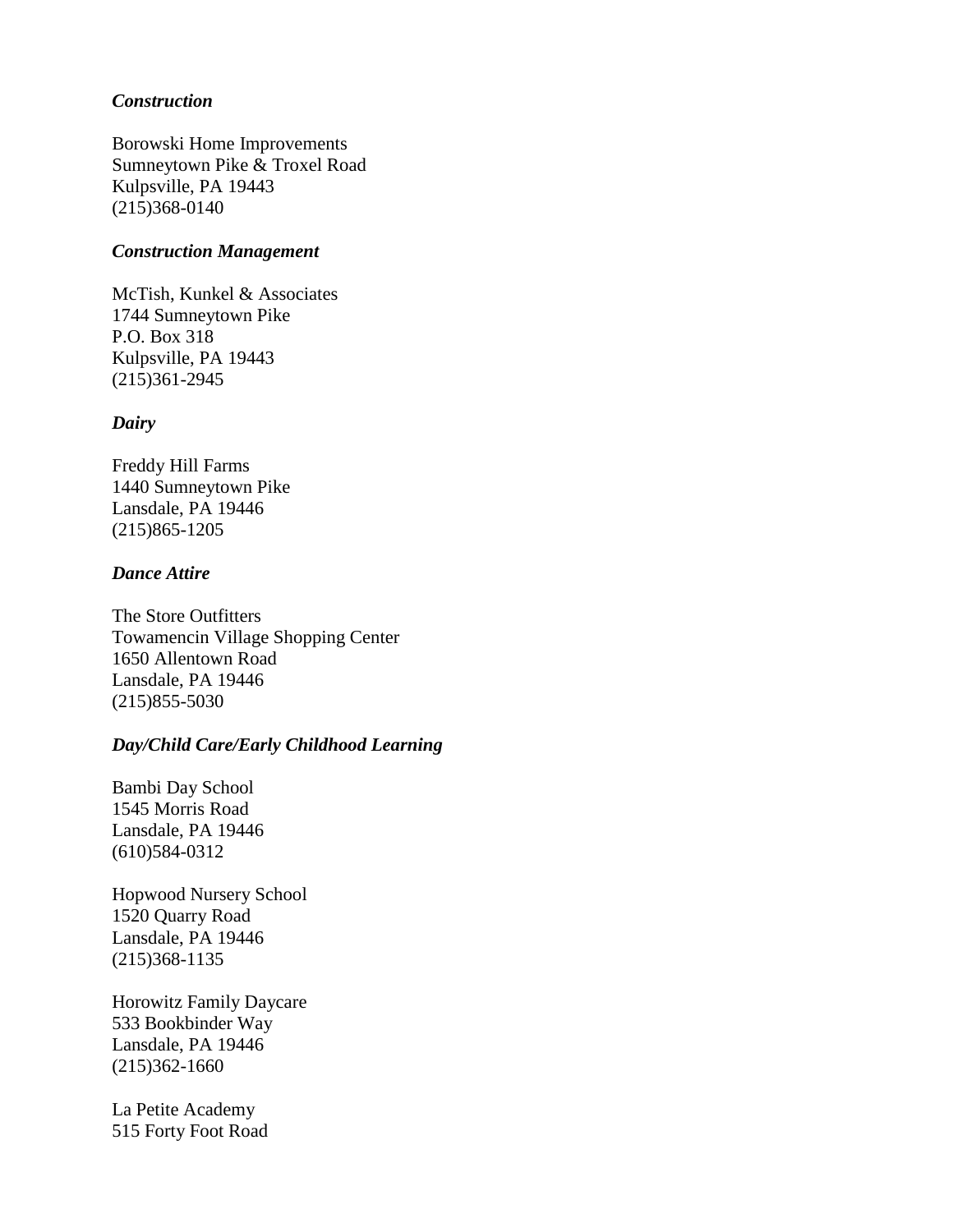#### *Construction*

Borowski Home Improvements Sumneytown Pike & Troxel Road Kulpsville, PA 19443 (215)368-0140

#### *Construction Management*

McTish, Kunkel & Associates 1744 Sumneytown Pike P.O. Box 318 Kulpsville, PA 19443 (215)361-2945

#### *Dairy*

Freddy Hill Farms 1440 Sumneytown Pike Lansdale, PA 19446 (215)865-1205

#### *Dance Attire*

The Store Outfitters Towamencin Village Shopping Center 1650 Allentown Road Lansdale, PA 19446 (215)855-5030

### *Day/Child Care/Early Childhood Learning*

Bambi Day School 1545 Morris Road Lansdale, PA 19446 (610)584-0312

Hopwood Nursery School 1520 Quarry Road Lansdale, PA 19446 (215)368-1135

Horowitz Family Daycare 533 Bookbinder Way Lansdale, PA 19446 (215)362-1660

La Petite Academy 515 Forty Foot Road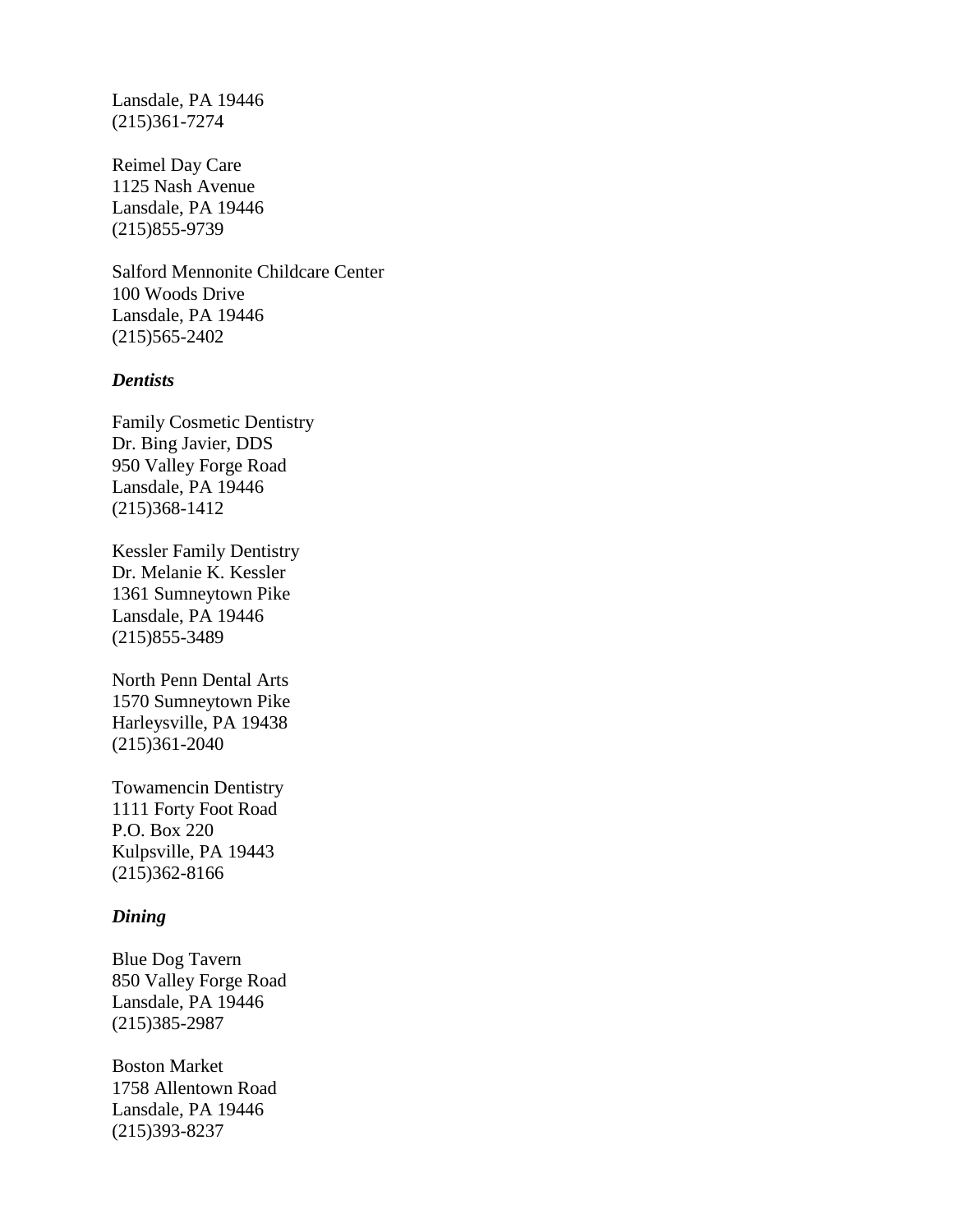Lansdale, PA 19446 (215)361-7274

Reimel Day Care 1125 Nash Avenue Lansdale, PA 19446 (215)855-9739

Salford Mennonite Childcare Center 100 Woods Drive Lansdale, PA 19446 (215)565-2402

#### *Dentists*

Family Cosmetic Dentistry Dr. Bing Javier, DDS 950 Valley Forge Road Lansdale, PA 19446 (215)368-1412

Kessler Family Dentistry Dr. Melanie K. Kessler 1361 Sumneytown Pike Lansdale, PA 19446 (215)855-3489

North Penn Dental Arts 1570 Sumneytown Pike Harleysville, PA 19438 (215)361-2040

Towamencin Dentistry 1111 Forty Foot Road P.O. Box 220 Kulpsville, PA 19443 (215)362-8166

#### *Dining*

Blue Dog Tavern 850 Valley Forge Road Lansdale, PA 19446 (215)385-2987

Boston Market 1758 Allentown Road Lansdale, PA 19446 (215)393-8237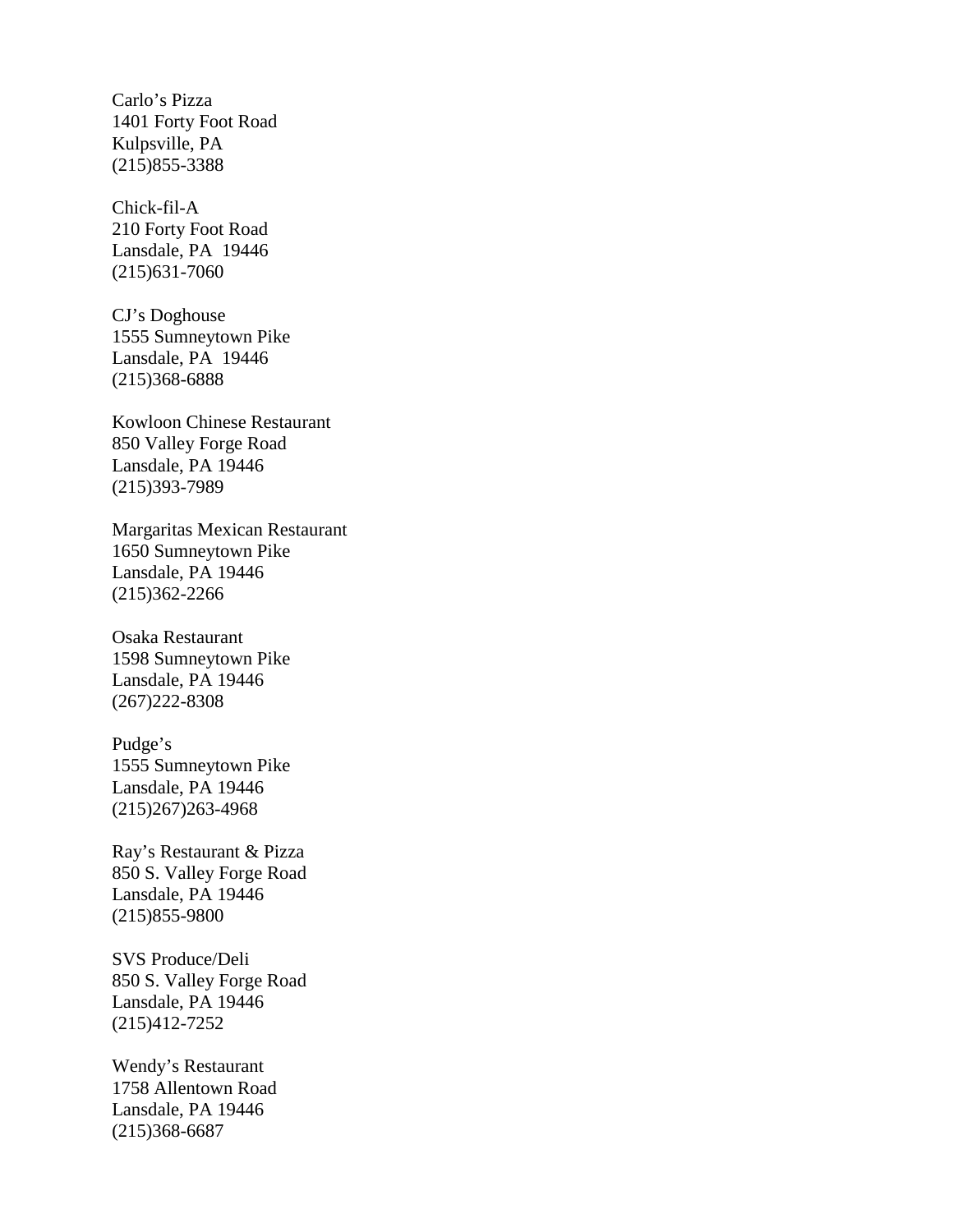Carlo's Pizza 1401 Forty Foot Road Kulpsville, PA (215)855-3388

Chick-fil-A 210 Forty Foot Road Lansdale, PA 19446 (215)631-7060

CJ's Doghouse 1555 Sumneytown Pike Lansdale, PA 19446 (215)368-6888

Kowloon Chinese Restaurant 850 Valley Forge Road Lansdale, PA 19446 (215)393-7989

Margaritas Mexican Restaurant 1650 Sumneytown Pike Lansdale, PA 19446 (215)362-2266

Osaka Restaurant 1598 Sumneytown Pike Lansdale, PA 19446 (267)222-8308

Pudge's 1555 Sumneytown Pike Lansdale, PA 19446 (215)267)263-4968

Ray's Restaurant & Pizza 850 S. Valley Forge Road Lansdale, PA 19446 (215)855-9800

SVS Produce/Deli 850 S. Valley Forge Road Lansdale, PA 19446 (215)412-7252

Wendy's Restaurant 1758 Allentown Road Lansdale, PA 19446 (215)368-6687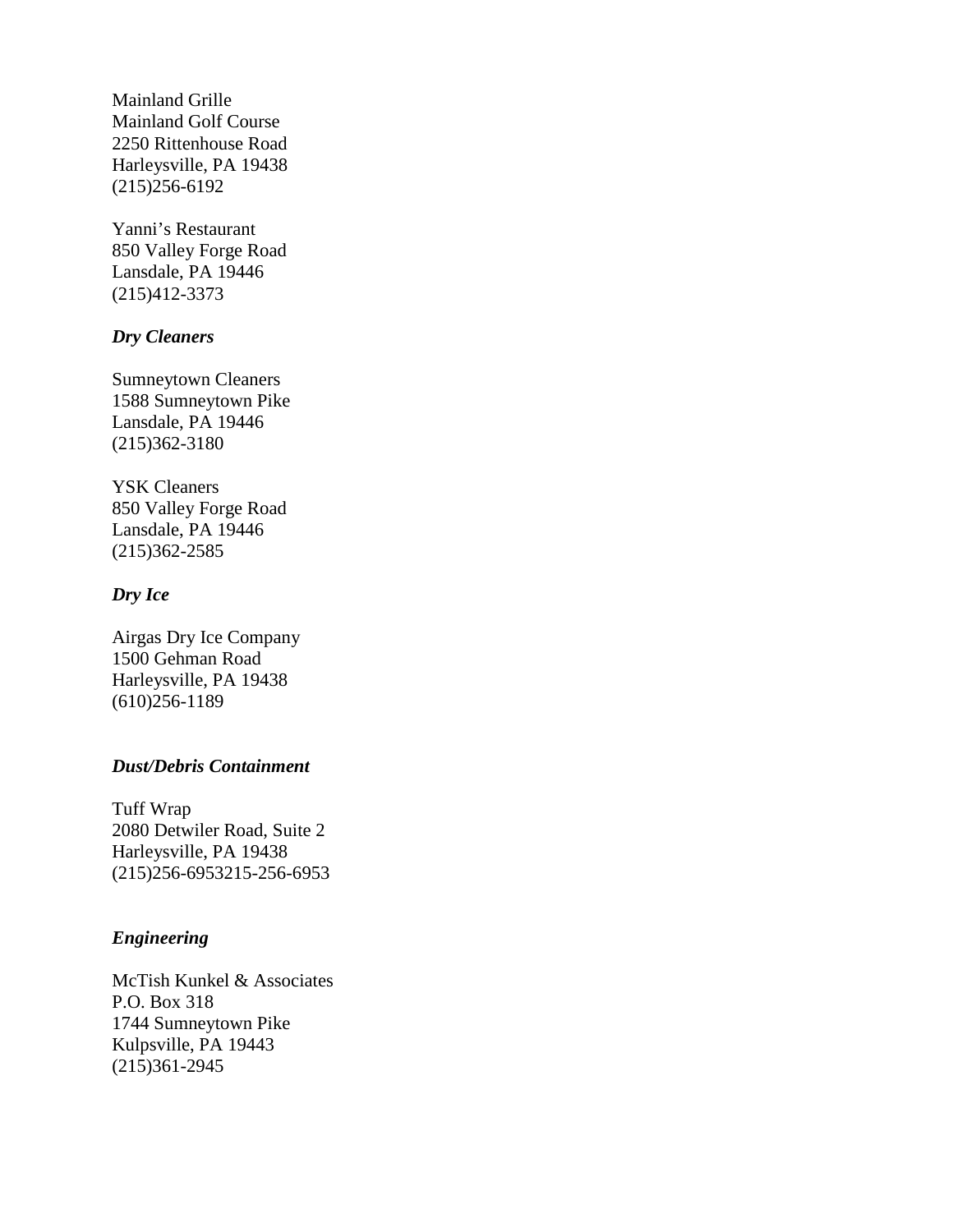Mainland Grille Mainland Golf Course 2250 Rittenhouse Road Harleysville, PA 19438 (215)256-6192

Yanni's Restaurant 850 Valley Forge Road Lansdale, PA 19446 (215)412-3373

### *Dry Cleaners*

Sumneytown Cleaners 1588 Sumneytown Pike Lansdale, PA 19446 (215)362-3180

YSK Cleaners 850 Valley Forge Road Lansdale, PA 19446 (215)362-2585

### *Dry Ice*

Airgas Dry Ice Company 1500 Gehman Road Harleysville, PA 19438 (610)256-1189

### *Dust/Debris Containment*

Tuff Wrap 2080 Detwiler Road, Suite 2 Harleysville, PA 19438 (215)256-6953215-256-6953

### *Engineering*

McTish Kunkel & Associates P.O. Box 318 1744 Sumneytown Pike Kulpsville, PA 19443 (215)361-2945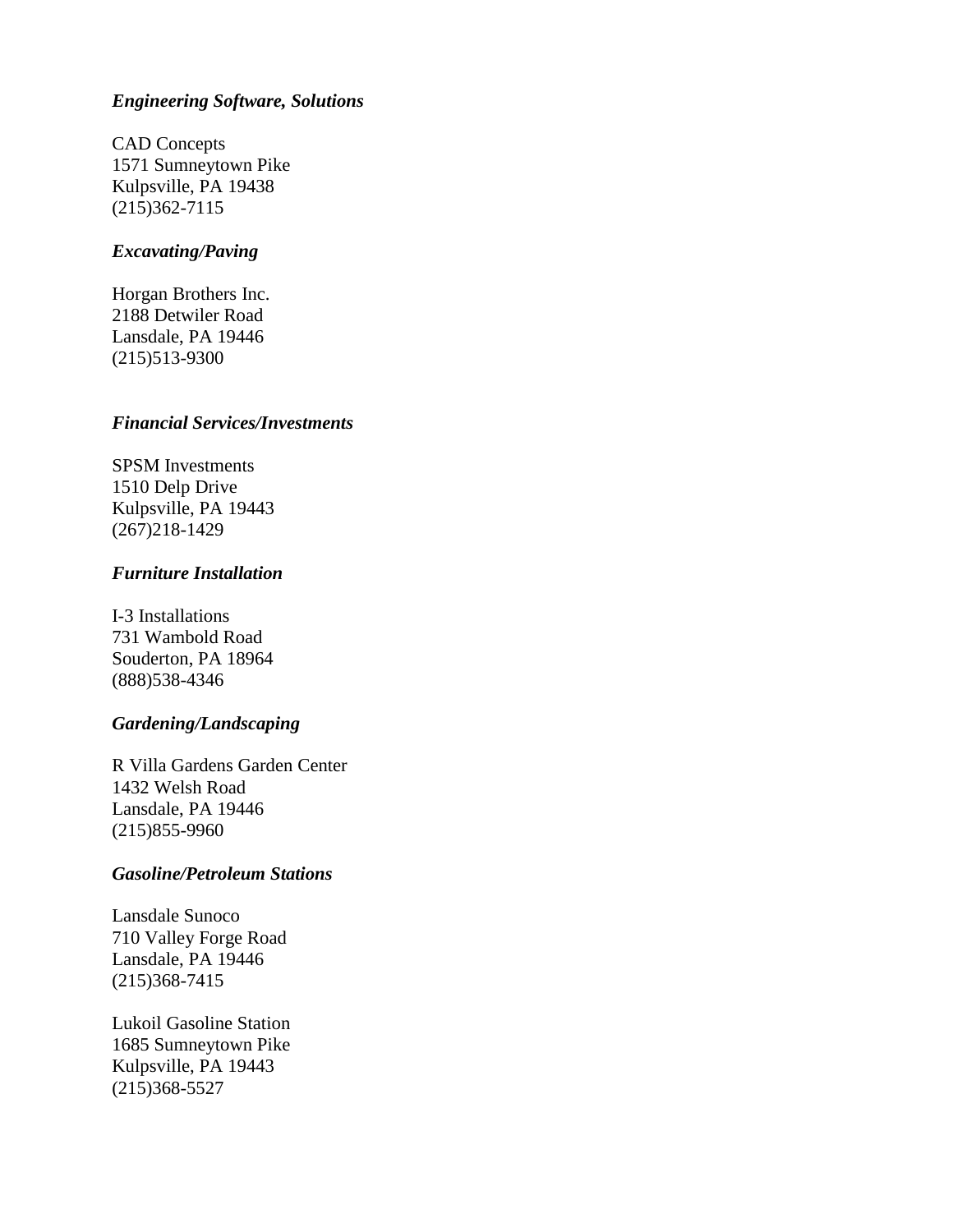### *Engineering Software, Solutions*

CAD Concepts 1571 Sumneytown Pike Kulpsville, PA 19438 (215)362-7115

# *Excavating/Paving*

Horgan Brothers Inc. 2188 Detwiler Road Lansdale, PA 19446 (215)513-9300

### *Financial Services/Investments*

SPSM Investments 1510 Delp Drive Kulpsville, PA 19443 (267)218-1429

# *Furniture Installation*

I-3 Installations 731 Wambold Road Souderton, PA 18964 (888)538-4346

# *Gardening/Landscaping*

R Villa Gardens Garden Center 1432 Welsh Road Lansdale, PA 19446 (215)855-9960

### *Gasoline/Petroleum Stations*

Lansdale Sunoco 710 Valley Forge Road Lansdale, PA 19446 (215)368-7415

Lukoil Gasoline Station 1685 Sumneytown Pike Kulpsville, PA 19443 (215)368-5527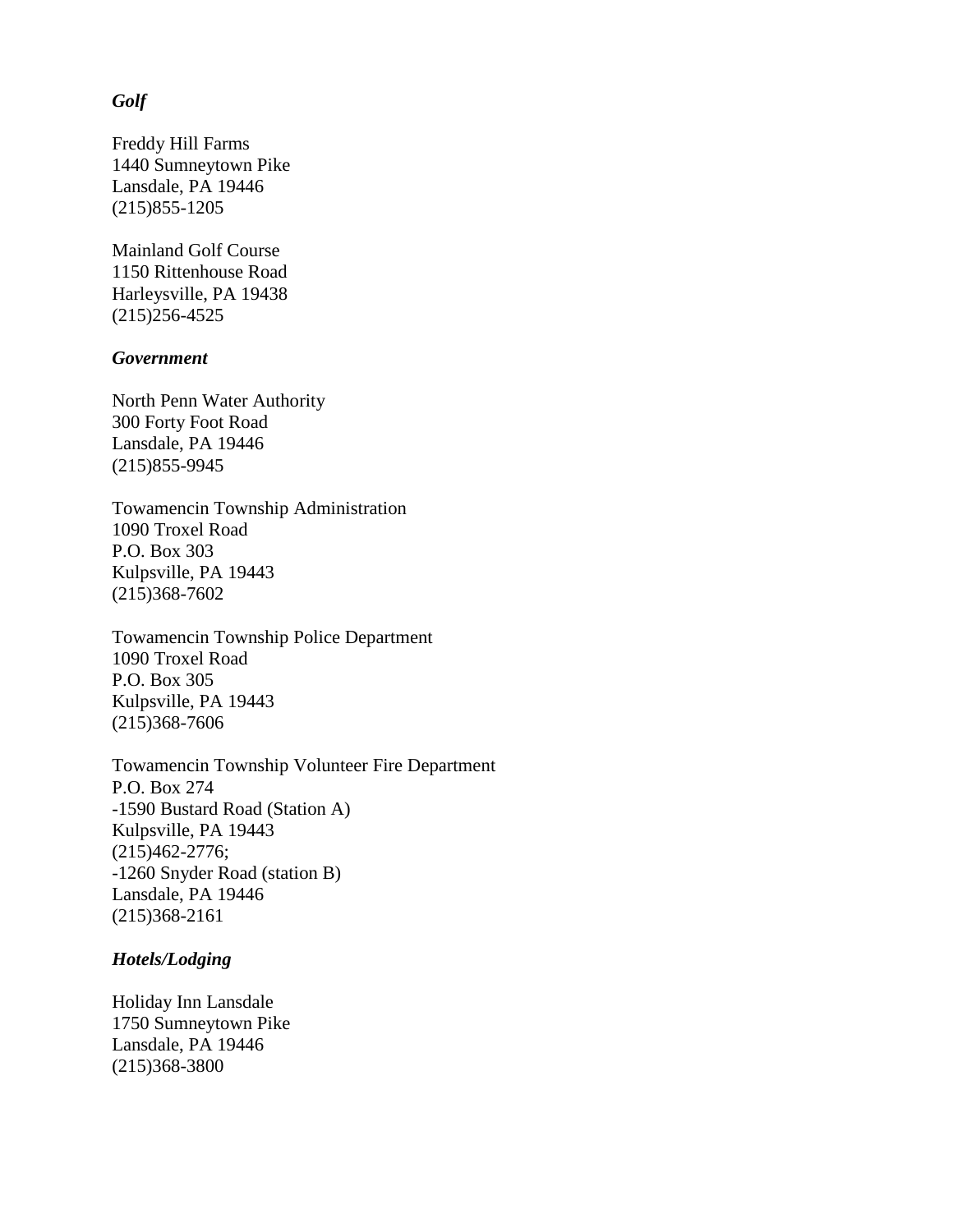### *Golf*

Freddy Hill Farms 1440 Sumneytown Pike Lansdale, PA 19446 (215)855-1205

Mainland Golf Course 1150 Rittenhouse Road Harleysville, PA 19438  $(215)$  $256-4525$ 

#### *Government*

North Penn Water Authority 300 Forty Foot Road Lansdale, PA 19446 (215)855-9945

Towamencin Township Administration 1090 Troxel Road P.O. Box 303 Kulpsville, PA 19443 (215)368-7602

Towamencin Township Police Department 1090 Troxel Road P.O. Box 305 Kulpsville, PA 19443 (215)368-7606

Towamencin Township Volunteer Fire Department P.O. Box 274 -1590 Bustard Road (Station A) Kulpsville, PA 19443 (215)462-2776; -1260 Snyder Road (station B) Lansdale, PA 19446 (215)368-2161

#### *Hotels/Lodging*

Holiday Inn Lansdale 1750 Sumneytown Pike Lansdale, PA 19446 (215)368-3800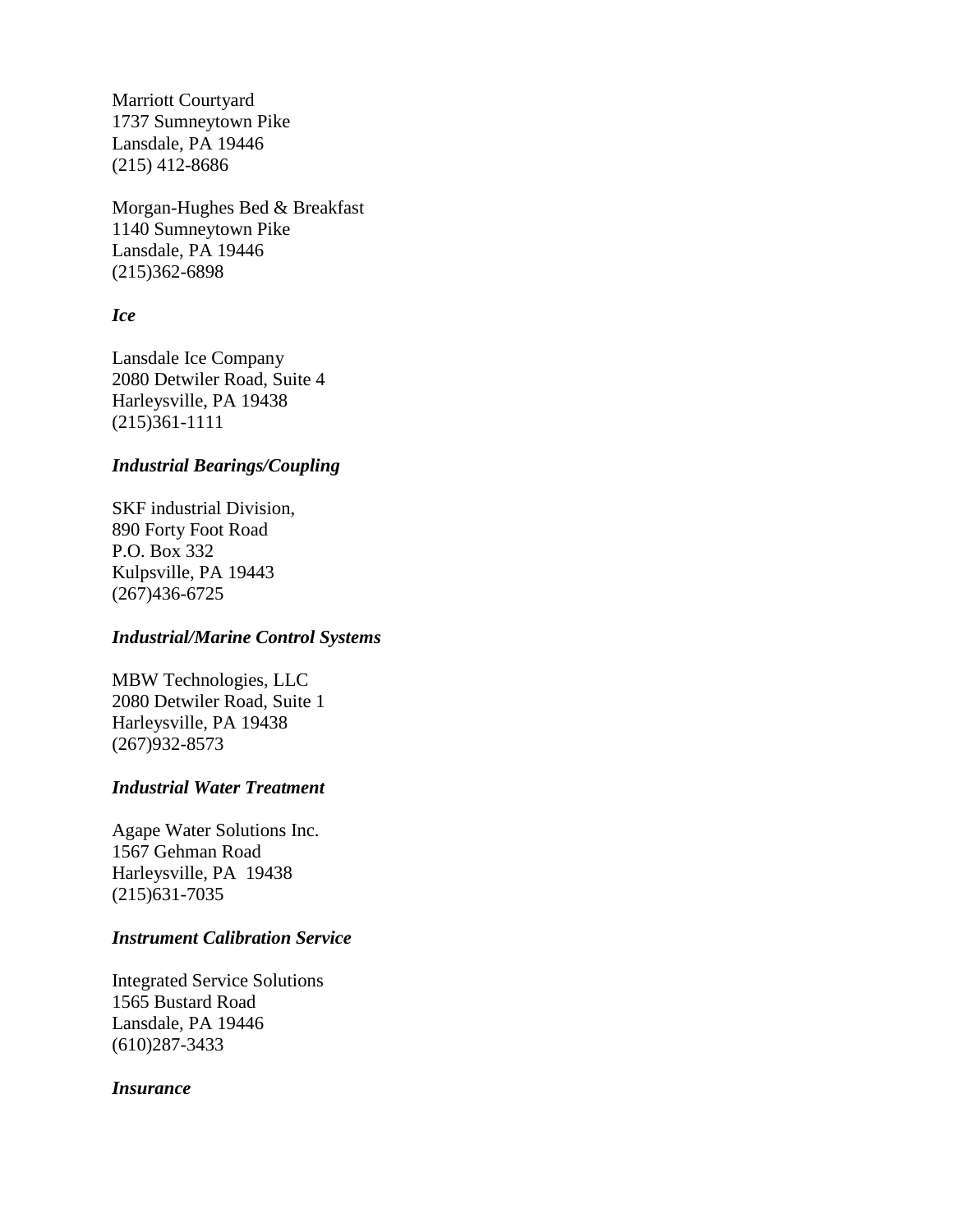Marriott Courtyard 1737 Sumneytown Pike Lansdale, PA 19446 (215) 412-8686

Morgan-Hughes Bed & Breakfast 1140 Sumneytown Pike Lansdale, PA 19446 (215)362-6898

### *Ice*

Lansdale Ice Company 2080 Detwiler Road, Suite 4 Harleysville, PA 19438 (215)361-1111

# *Industrial Bearings/Coupling*

SKF industrial Division, 890 Forty Foot Road P.O. Box 332 Kulpsville, PA 19443 (267)436-6725

# *Industrial/Marine Control Systems*

MBW Technologies, LLC 2080 Detwiler Road, Suite 1 Harleysville, PA 19438 (267)932-8573

# *Industrial Water Treatment*

Agape Water Solutions Inc. 1567 Gehman Road Harleysville, PA 19438 (215)631-7035

# *Instrument Calibration Service*

Integrated Service Solutions 1565 Bustard Road Lansdale, PA 19446 (610)287-3433

# *Insurance*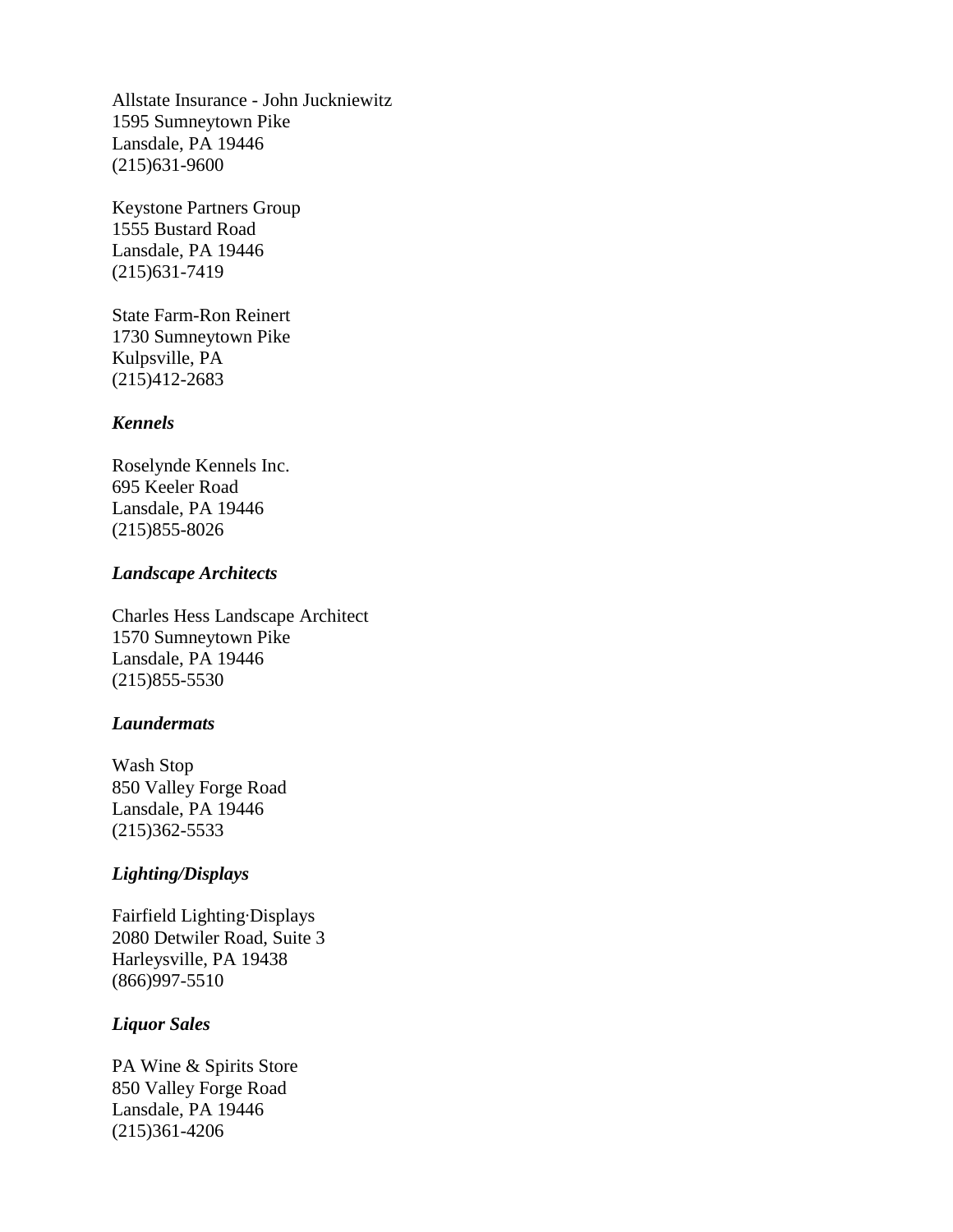Allstate Insurance - John Juckniewitz 1595 Sumneytown Pike Lansdale, PA 19446 (215)631-9600

Keystone Partners Group 1555 Bustard Road Lansdale, PA 19446 (215)631-7419

State Farm-Ron Reinert 1730 Sumneytown Pike Kulpsville, PA (215)412-2683

#### *Kennels*

Roselynde Kennels Inc. 695 Keeler Road Lansdale, PA 19446 (215)855-8026

#### *Landscape Architects*

Charles Hess Landscape Architect 1570 Sumneytown Pike Lansdale, PA 19446 (215)855-5530

### *Laundermats*

Wash Stop 850 Valley Forge Road Lansdale, PA 19446 (215)362-5533

# *Lighting/Displays*

Fairfield Lighting∙Displays 2080 Detwiler Road, Suite 3 Harleysville, PA 19438 (866)997-5510

### *Liquor Sales*

PA Wine & Spirits Store 850 Valley Forge Road Lansdale, PA 19446 (215)361-4206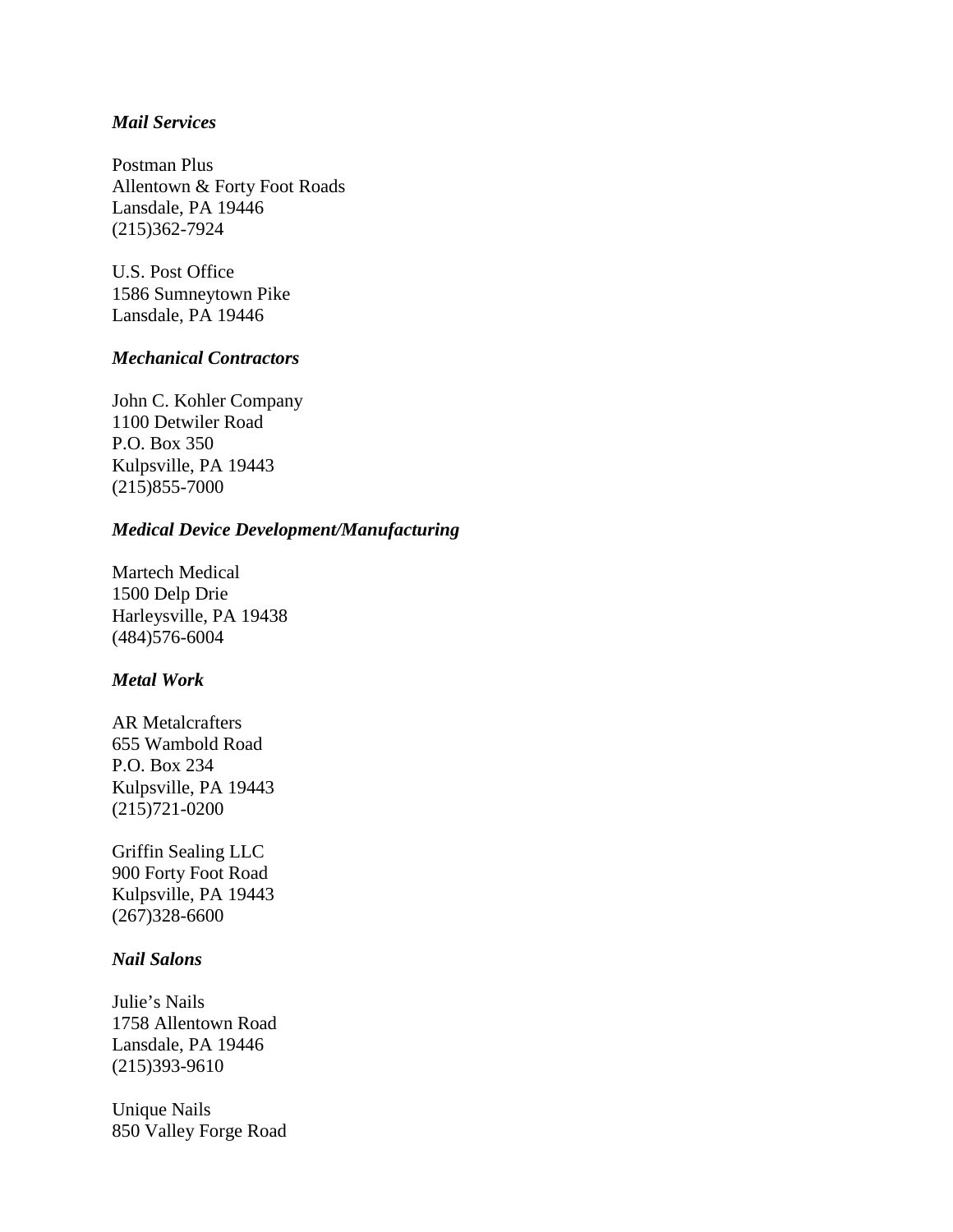#### *Mail Services*

Postman Plus Allentown & Forty Foot Roads Lansdale, PA 19446 (215)362-7924

U.S. Post Office 1586 Sumneytown Pike Lansdale, PA 19446

#### *Mechanical Contractors*

John C. Kohler Company 1100 Detwiler Road P.O. Box 350 Kulpsville, PA 19443 (215)855-7000

### *Medical Device Development/Manufacturing*

Martech Medical 1500 Delp Drie Harleysville, PA 19438 (484)576-6004

### *Metal Work*

AR Metalcrafters 655 Wambold Road P.O. Box 234 Kulpsville, PA 19443 (215)721-0200

Griffin Sealing LLC 900 Forty Foot Road Kulpsville, PA 19443 (267)328-6600

# *Nail Salons*

Julie's Nails 1758 Allentown Road Lansdale, PA 19446 (215)393-9610

Unique Nails 850 Valley Forge Road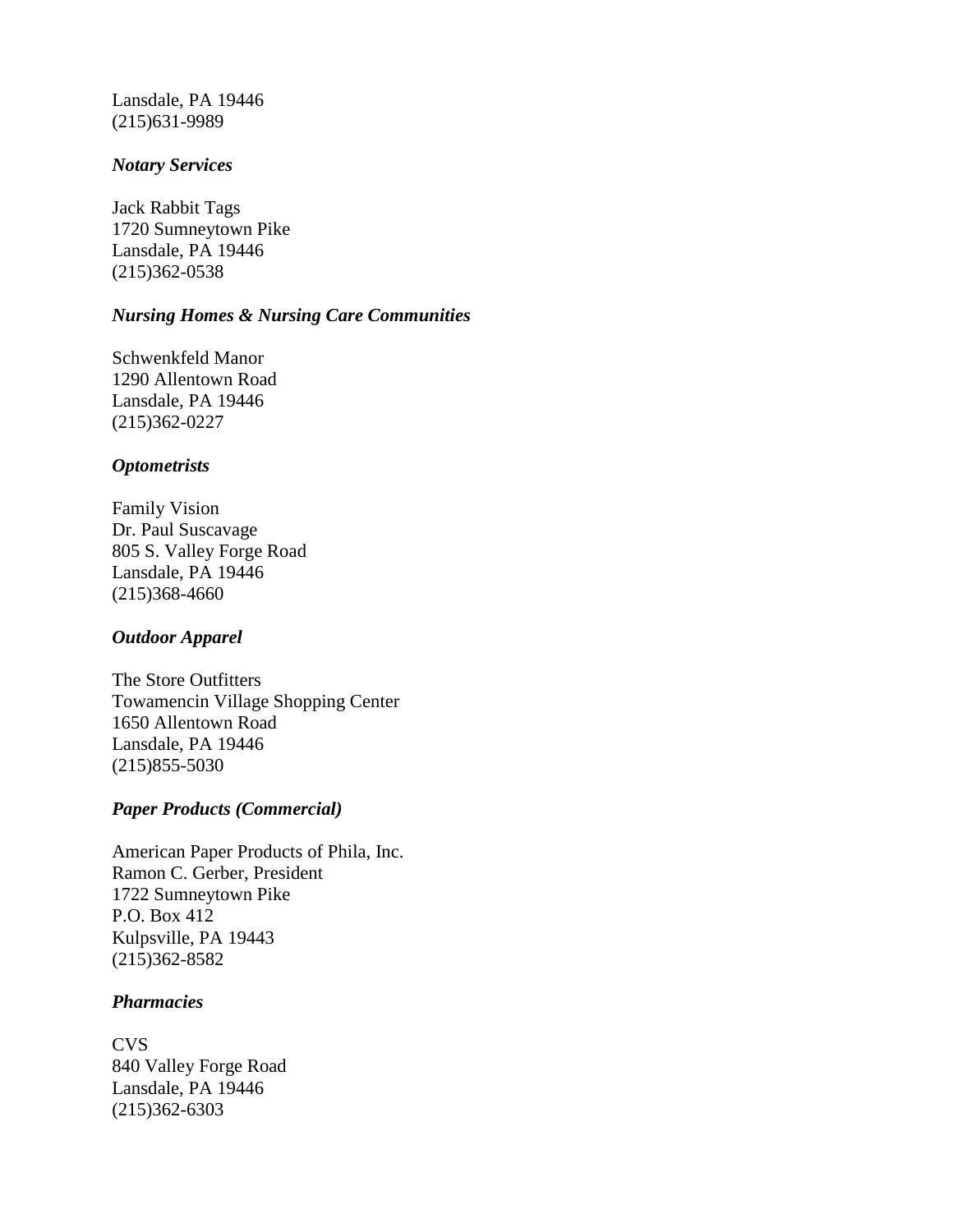Lansdale, PA 19446 (215)631-9989

#### *Notary Services*

Jack Rabbit Tags 1720 Sumneytown Pike Lansdale, PA 19446 (215)362-0538

### *Nursing Homes & Nursing Care Communities*

Schwenkfeld Manor 1290 Allentown Road Lansdale, PA 19446 (215)362-0227

#### *Optometrists*

Family Vision Dr. Paul Suscavage 805 S. Valley Forge Road Lansdale, PA 19446 (215)368-4660

### *Outdoor Apparel*

The Store Outfitters Towamencin Village Shopping Center 1650 Allentown Road Lansdale, PA 19446 (215)855-5030

### *Paper Products (Commercial)*

American Paper Products of Phila, Inc. Ramon C. Gerber, President 1722 Sumneytown Pike P.O. Box 412 Kulpsville, PA 19443 (215)362-8582

## *Pharmacies*

CVS 840 Valley Forge Road Lansdale, PA 19446 (215)362-6303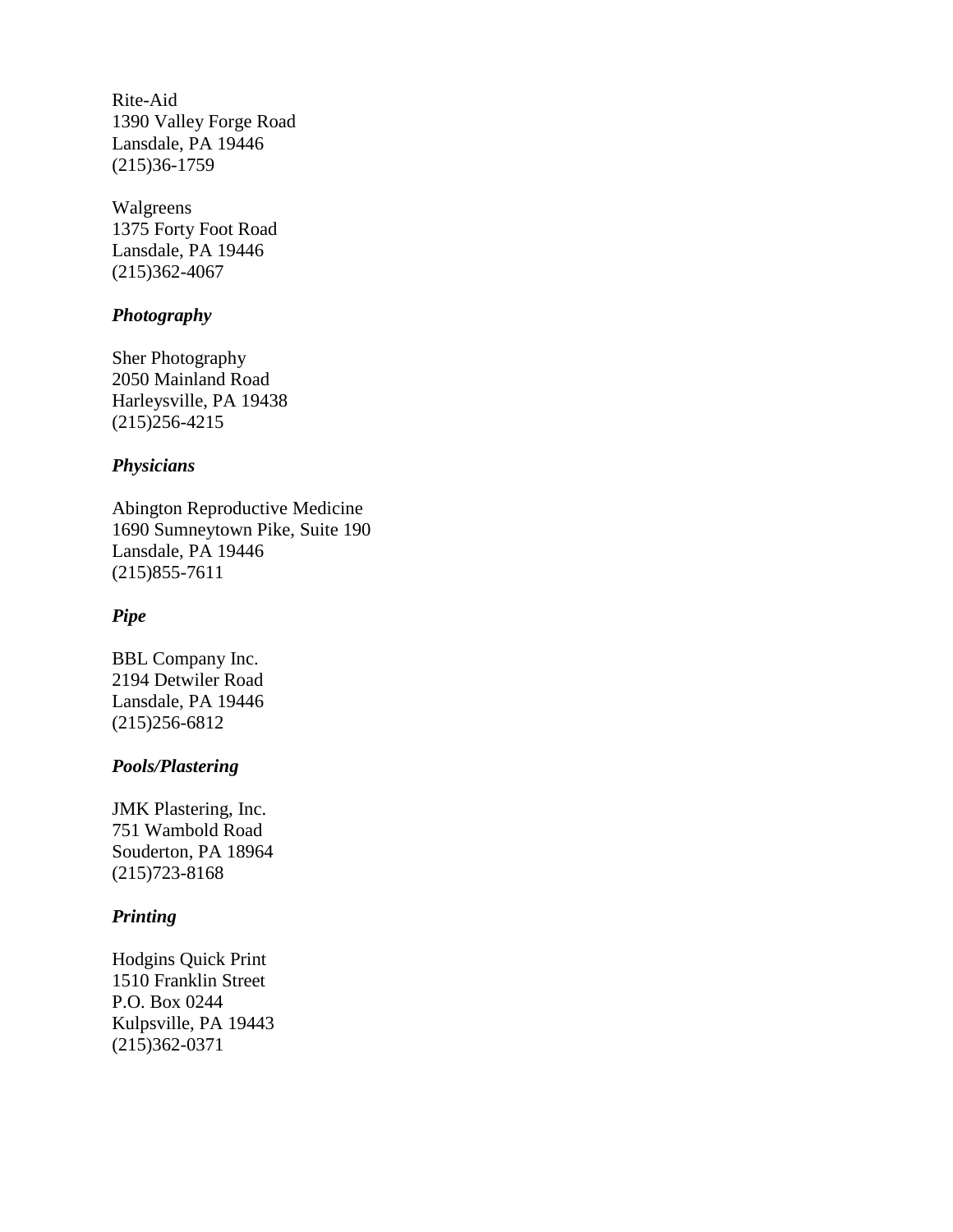Rite-Aid 1390 Valley Forge Road Lansdale, PA 19446 (215)36-1759

Walgreens 1375 Forty Foot Road Lansdale, PA 19446 (215)362-4067

### *Photography*

Sher Photography 2050 Mainland Road Harleysville, PA 19438 (215)256-4215

### *Physicians*

Abington Reproductive Medicine 1690 Sumneytown Pike, Suite 190 Lansdale, PA 19446 (215)855-7611

## *Pipe*

BBL Company Inc. 2194 Detwiler Road Lansdale, PA 19446 (215)256-6812

# *Pools/Plastering*

JMK Plastering, Inc. 751 Wambold Road Souderton, PA 18964 (215)723-8168

# *Printing*

Hodgins Quick Print 1510 Franklin Street P.O. Box 0244 Kulpsville, PA 19443 (215)362-0371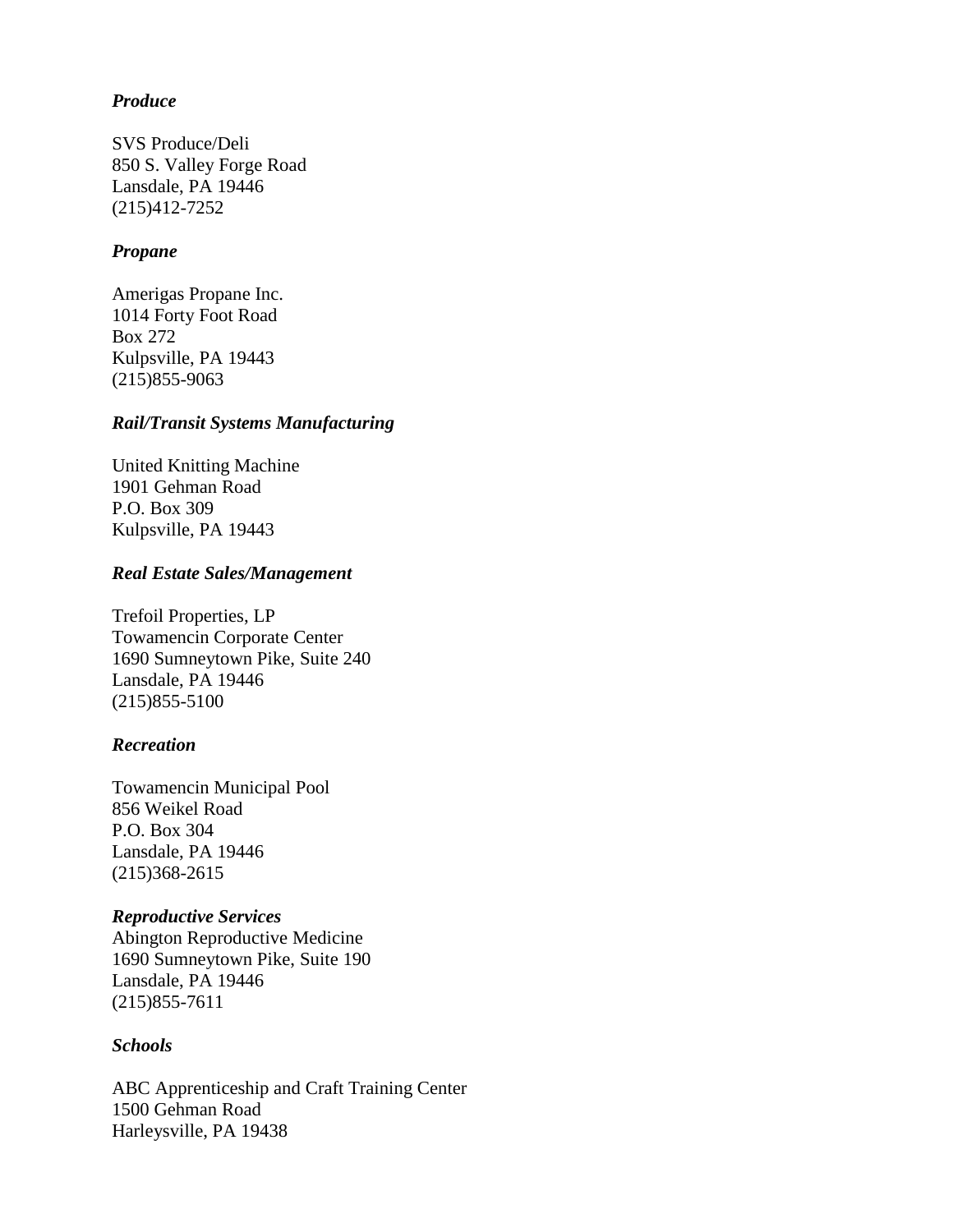#### *Produce*

SVS Produce/Deli 850 S. Valley Forge Road Lansdale, PA 19446 (215)412-7252

### *Propane*

Amerigas Propane Inc. 1014 Forty Foot Road Box 272 Kulpsville, PA 19443 (215)855-9063

#### *Rail/Transit Systems Manufacturing*

United Knitting Machine 1901 Gehman Road P.O. Box 309 Kulpsville, PA 19443

### *Real Estate Sales/Management*

Trefoil Properties, LP Towamencin Corporate Center 1690 Sumneytown Pike, Suite 240 Lansdale, PA 19446 (215)855-5100

#### *Recreation*

Towamencin Municipal Pool 856 Weikel Road P.O. Box 304 Lansdale, PA 19446 (215)368-2615

#### *Reproductive Services*

Abington Reproductive Medicine 1690 Sumneytown Pike, Suite 190 Lansdale, PA 19446 (215)855-7611

#### *Schools*

ABC Apprenticeship and Craft Training Center 1500 Gehman Road Harleysville, PA 19438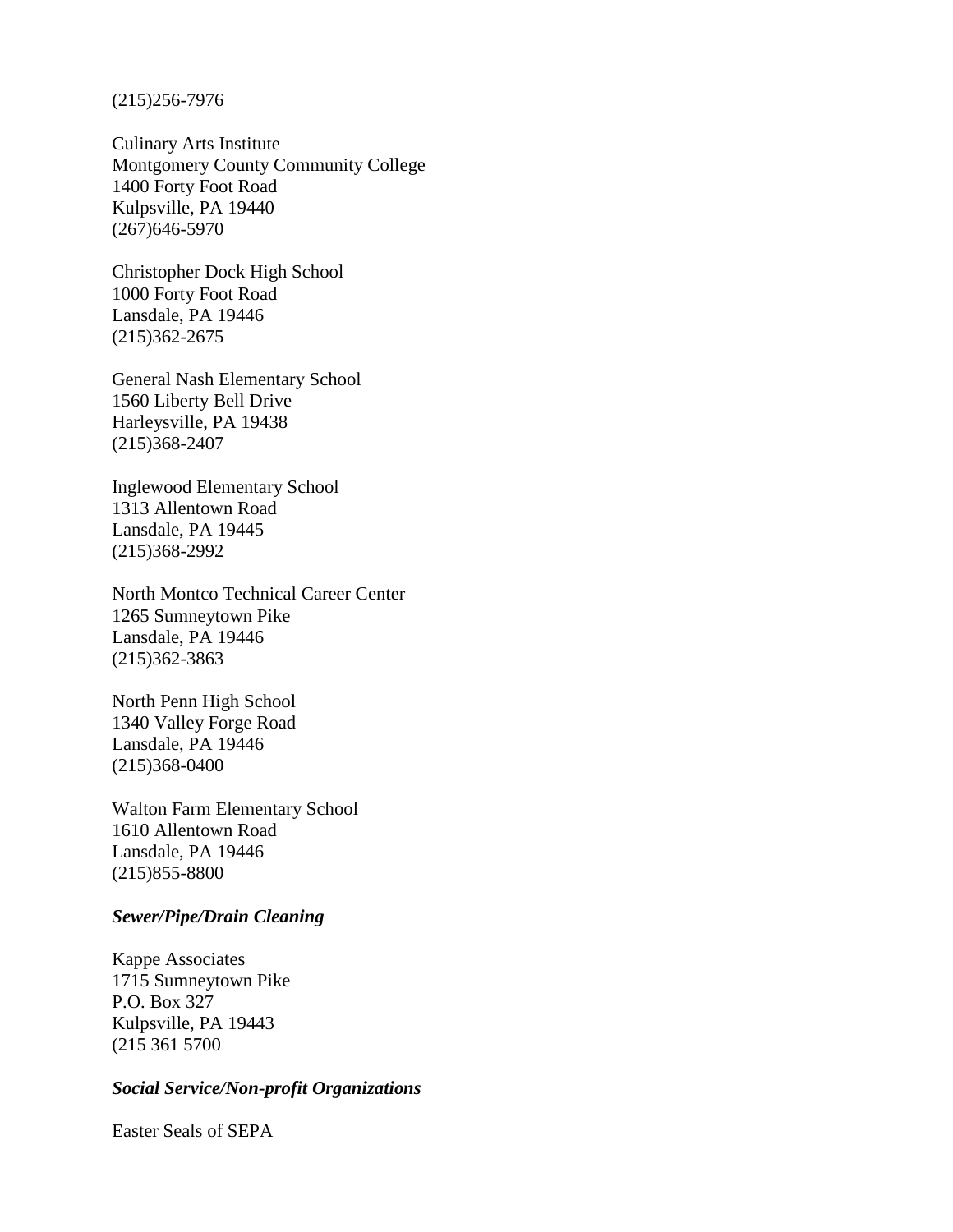#### (215)256-7976

Culinary Arts Institute Montgomery County Community College 1400 Forty Foot Road Kulpsville, PA 19440 (267)646-5970

Christopher Dock High School 1000 Forty Foot Road Lansdale, PA 19446 (215)362-2675

General Nash Elementary School 1560 Liberty Bell Drive Harleysville, PA 19438 (215)368-2407

Inglewood Elementary School 1313 Allentown Road Lansdale, PA 19445 (215)368-2992

North Montco Technical Career Center 1265 Sumneytown Pike Lansdale, PA 19446 (215)362-3863

North Penn High School 1340 Valley Forge Road Lansdale, PA 19446 (215)368-0400

Walton Farm Elementary School 1610 Allentown Road Lansdale, PA 19446 (215)855-8800

#### *Sewer/Pipe/Drain Cleaning*

Kappe Associates 1715 Sumneytown Pike P.O. Box 327 Kulpsville, PA 19443 (215 361 5700

#### *Social Service/Non-profit Organizations*

Easter Seals of SEPA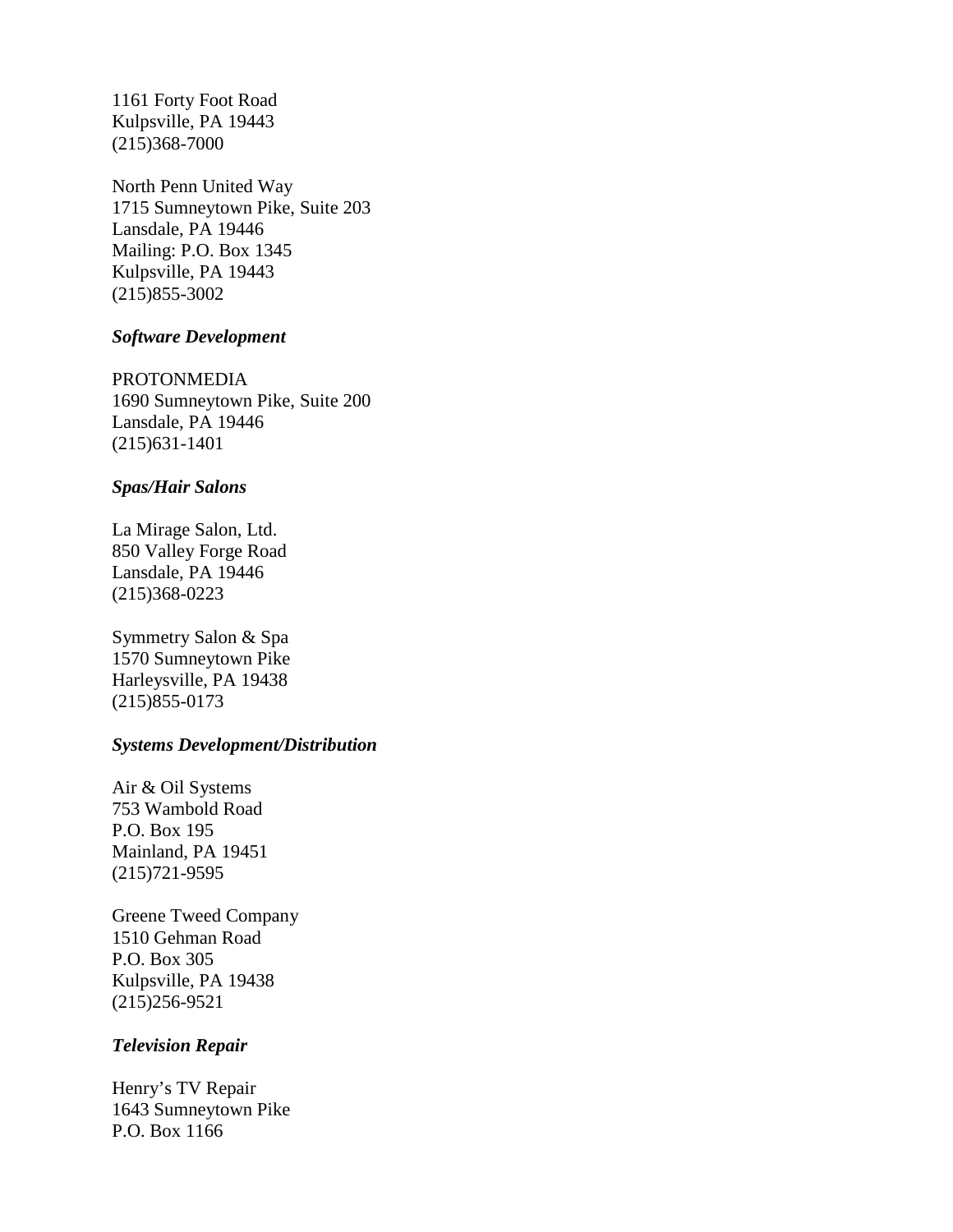1161 Forty Foot Road Kulpsville, PA 19443 (215)368-7000

North Penn United Way 1715 Sumneytown Pike, Suite 203 Lansdale, PA 19446 Mailing: P.O. Box 1345 Kulpsville, PA 19443 (215)855-3002

#### *Software Development*

PROTONMEDIA 1690 Sumneytown Pike, Suite 200 Lansdale, PA 19446 (215)631-1401

#### *Spas/Hair Salons*

La Mirage Salon, Ltd. 850 Valley Forge Road Lansdale, PA 19446 (215)368-0223

Symmetry Salon & Spa 1570 Sumneytown Pike Harleysville, PA 19438 (215)855-0173

### *Systems Development/Distribution*

Air & Oil Systems 753 Wambold Road P.O. Box 195 Mainland, PA 19451 (215)721-9595

Greene Tweed Company 1510 Gehman Road P.O. Box 305 Kulpsville, PA 19438 (215)256-9521

# *Television Repair*

Henry's TV Repair 1643 Sumneytown Pike P.O. Box 1166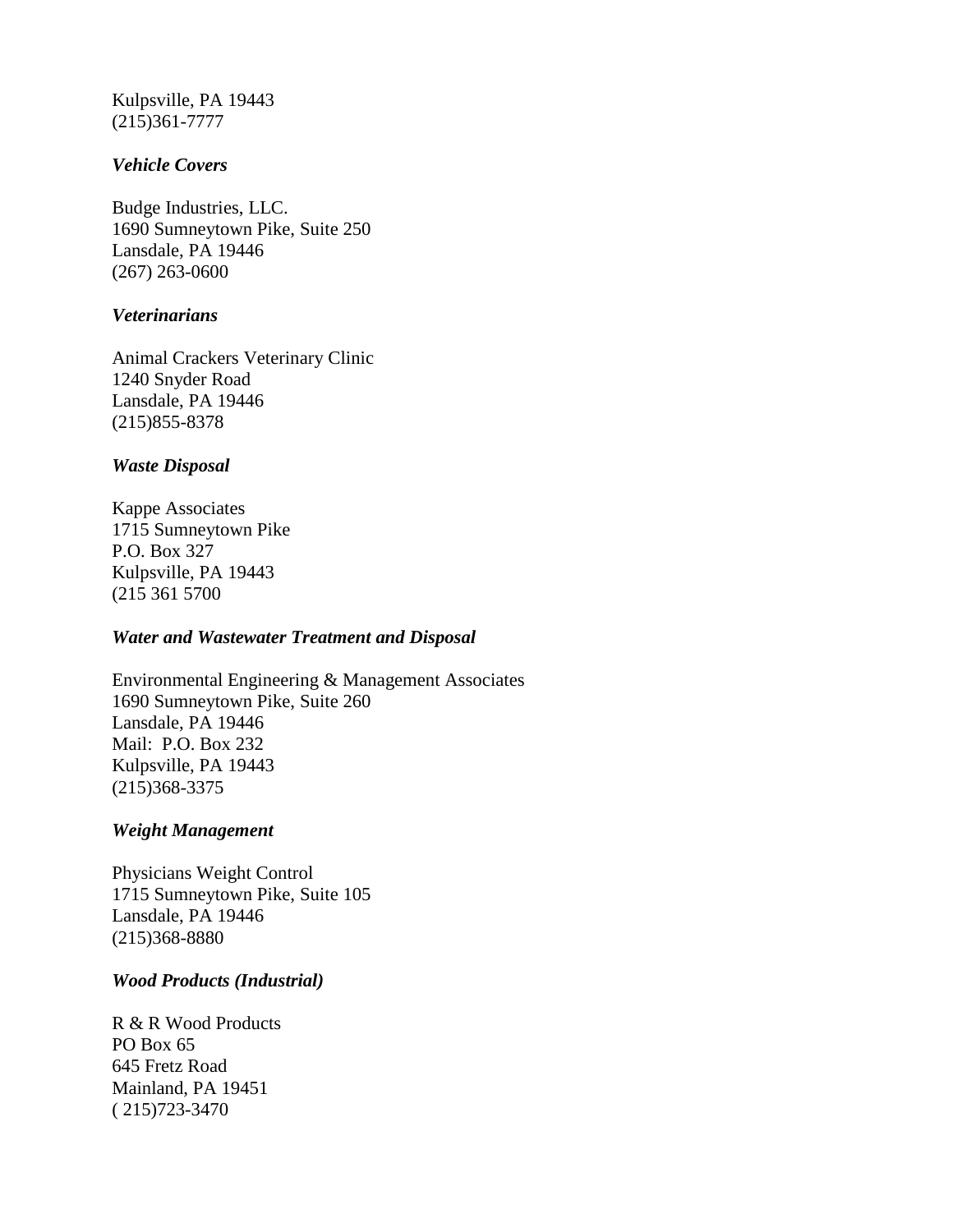Kulpsville, PA 19443 (215)361-7777

## *Vehicle Covers*

Budge Industries, LLC. 1690 Sumneytown Pike, Suite 250 Lansdale, PA 19446 (267) 263-0600

# *Veterinarians*

Animal Crackers Veterinary Clinic 1240 Snyder Road Lansdale, PA 19446 (215)855-8378

# *Waste Disposal*

Kappe Associates 1715 Sumneytown Pike P.O. Box 327 Kulpsville, PA 19443 (215 361 5700

### *Water and Wastewater Treatment and Disposal*

Environmental Engineering & Management Associates 1690 Sumneytown Pike, Suite 260 Lansdale, PA 19446 Mail: P.O. Box 232 Kulpsville, PA 19443 (215)368-3375

### *Weight Management*

Physicians Weight Control 1715 Sumneytown Pike, Suite 105 Lansdale, PA 19446 (215)368-8880

# *Wood Products (Industrial)*

R & R Wood Products PO Box 65 645 Fretz Road Mainland, PA 19451 ( 215)723-3470